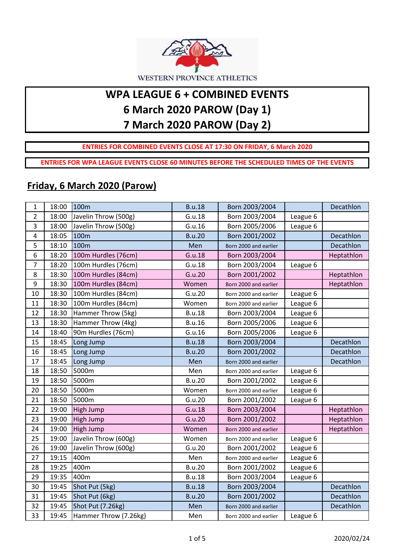

# **WPA LEAGUE 6 + COMBINED EVENTS 6 March 2020 PAROW (Day 1) 7 March 2020 PAROW (Day 2)**

### **ENTRIES FOR COMBINED EVENTS CLOSE AT 17:30 ON FRIDAY, 6 March 2020**

**ENTRIES FOR WPA LEAGUE EVENTS CLOSE 60 MINUTES BEFORE THE SCHEDULED TIMES OF THE EVENTS**

### **Friday, 6 March 2020 (Parow)**

| $\mathbf{1}$            | 18:00 | 100m                  | <b>B.u.18</b> | Born 2003/2004        |          | Decathlon  |
|-------------------------|-------|-----------------------|---------------|-----------------------|----------|------------|
| $\overline{2}$          | 18:00 | Javelin Throw (500g)  | G.u.18        | Born 2003/2004        | League 6 |            |
| 3                       | 18:00 | Javelin Throw (500g)  | G.u.16        | Born 2005/2006        | League 6 |            |
| $\overline{\mathbf{4}}$ | 18:05 | 100m                  | <b>B.u.20</b> | Born 2001/2002        |          | Decathlon  |
| 5                       | 18:10 | 100m                  | Men           | Born 2000 and earlier |          | Decathlon  |
| 6                       | 18:20 | 100m Hurdles (76cm)   | G.u.18        | Born 2003/2004        |          | Heptathlon |
| $\overline{7}$          | 18:20 | 100m Hurdles (76cm)   | G.u.18        | Born 2003/2004        | League 6 |            |
| 8                       | 18:30 | 100m Hurdles (84cm)   | G.u.20        | Born 2001/2002        |          | Heptathlon |
| 9                       | 18:30 | 100m Hurdles (84cm)   | Women         | Born 2000 and earlier |          | Heptathlon |
| 10                      | 18:30 | 100m Hurdles (84cm)   | G.u.20        | Born 2000 and earlier | League 6 |            |
| 11                      | 18:30 | 100m Hurdles (84cm)   | Women         | Born 2000 and earlier | League 6 |            |
| 12                      | 18:30 | Hammer Throw (5kg)    | <b>B.u.18</b> | Born 2003/2004        | League 6 |            |
| 13                      | 18:30 | Hammer Throw (4kg)    | <b>B.u.16</b> | Born 2005/2006        | League 6 |            |
| 14                      | 18:40 | 90m Hurdles (76cm)    | G.u.16        | Born 2005/2006        | League 6 |            |
| 15                      | 18:45 | Long Jump             | <b>B.u.18</b> | Born 2003/2004        |          | Decathlon  |
| 16                      | 18:45 | Long Jump             | <b>B.u.20</b> | Born 2001/2002        |          | Decathlon  |
| 17                      | 18:45 | Long Jump             | Men           | Born 2000 and earlier |          | Decathlon  |
| 18                      | 18:50 | 5000m                 | Men           | Born 2000 and earlier | League 6 |            |
| 19                      | 18:50 | 5000m                 | <b>B.u.20</b> | Born 2001/2002        | League 6 |            |
| 20                      | 18:50 | 5000m                 | Women         | Born 2000 and earlier | League 6 |            |
| 21                      | 18:50 | 5000m                 | G.u.20        | Born 2001/2002        | League 6 |            |
| 22                      | 19:00 | High Jump             | G.u.18        | Born 2003/2004        |          | Heptathlon |
| 23                      | 19:00 | High Jump             | G.u.20        | Born 2001/2002        |          | Heptathlon |
| 24                      | 19:00 | High Jump             | Women         | Born 2000 and earlier |          | Heptathlon |
| 25                      | 19:00 | Javelin Throw (600g)  | Women         | Born 2000 and earlier | League 6 |            |
| 26                      | 19:00 | Javelin Throw (600g)  | G.u.20        | Born 2001/2002        | League 6 |            |
| 27                      | 19:15 | 400m                  | Men           | Born 2000 and earlier | League 6 |            |
| 28                      | 19:25 | 400m                  | <b>B.u.20</b> | Born 2001/2002        | League 6 |            |
| 29                      | 19:35 | 400m                  | <b>B.u.18</b> | Born 2003/2004        | League 6 |            |
| 30                      | 19:45 | Shot Put (5kg)        | <b>B.u.18</b> | Born 2003/2004        |          | Decathlon  |
| 31                      | 19:45 | Shot Put (6kg)        | <b>B.u.20</b> | Born 2001/2002        |          | Decathlon  |
| 32                      | 19:45 | Shot Put (7.26kg)     | Men           | Born 2000 and earlier |          | Decathlon  |
| 33                      | 19:45 | Hammer Throw (7.26kg) | Men           | Born 2000 and earlier | League 6 |            |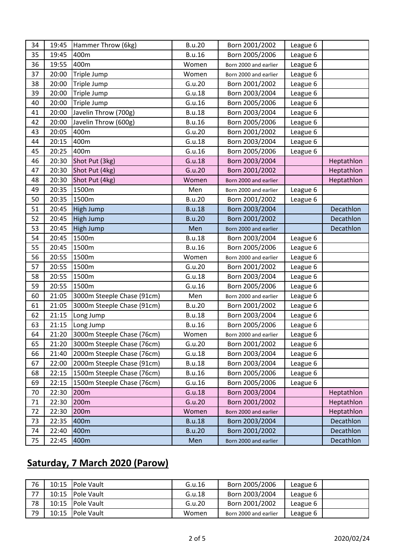| 34 | 19:45 | Hammer Throw (6kg)         | <b>B.u.20</b> | Born 2001/2002        | League 6 |            |
|----|-------|----------------------------|---------------|-----------------------|----------|------------|
| 35 | 19:45 | 400m                       | <b>B.u.16</b> | Born 2005/2006        | League 6 |            |
| 36 | 19:55 | 400m                       | Women         | Born 2000 and earlier | League 6 |            |
| 37 | 20:00 | Triple Jump                | Women         | Born 2000 and earlier | League 6 |            |
| 38 | 20:00 | Triple Jump                | G.u.20        | Born 2001/2002        | League 6 |            |
| 39 | 20:00 | Triple Jump                | G.u.18        | Born 2003/2004        | League 6 |            |
| 40 | 20:00 | Triple Jump                | G.u.16        | Born 2005/2006        | League 6 |            |
| 41 | 20:00 | Javelin Throw (700g)       | <b>B.u.18</b> | Born 2003/2004        | League 6 |            |
| 42 | 20:00 | Javelin Throw (600g)       | <b>B.u.16</b> | Born 2005/2006        | League 6 |            |
| 43 | 20:05 | 400m                       | G.u.20        | Born 2001/2002        | League 6 |            |
| 44 | 20:15 | 400m                       | G.u.18        | Born 2003/2004        | League 6 |            |
| 45 | 20:25 | 400m                       | G.u.16        | Born 2005/2006        | League 6 |            |
| 46 | 20:30 | Shot Put (3kg)             | G.u.18        | Born 2003/2004        |          | Heptathlon |
| 47 | 20:30 | Shot Put (4kg)             | G.u.20        | Born 2001/2002        |          | Heptathlon |
| 48 | 20:30 | Shot Put (4kg)             | Women         | Born 2000 and earlier |          | Heptathlon |
| 49 | 20:35 | 1500m                      | Men           | Born 2000 and earlier | League 6 |            |
| 50 | 20:35 | 1500m                      | <b>B.u.20</b> | Born 2001/2002        | League 6 |            |
| 51 | 20:45 | High Jump                  | <b>B.u.18</b> | Born 2003/2004        |          | Decathlon  |
| 52 | 20:45 | High Jump                  | <b>B.u.20</b> | Born 2001/2002        |          | Decathlon  |
| 53 | 20:45 | High Jump                  | Men           | Born 2000 and earlier |          | Decathlon  |
| 54 | 20:45 | 1500m                      | <b>B.u.18</b> | Born 2003/2004        | League 6 |            |
| 55 | 20:45 | 1500m                      | <b>B.u.16</b> | Born 2005/2006        | League 6 |            |
| 56 | 20:55 | 1500m                      | Women         | Born 2000 and earlier | League 6 |            |
| 57 | 20:55 | 1500m                      | G.u.20        | Born 2001/2002        | League 6 |            |
| 58 | 20:55 | 1500m                      | G.u.18        | Born 2003/2004        | League 6 |            |
| 59 | 20:55 | 1500m                      | G.u.16        | Born 2005/2006        | League 6 |            |
| 60 | 21:05 | 3000m Steeple Chase (91cm) | Men           | Born 2000 and earlier | League 6 |            |
| 61 | 21:05 | 3000m Steeple Chase (91cm) | <b>B.u.20</b> | Born 2001/2002        | League 6 |            |
| 62 | 21:15 | Long Jump                  | <b>B.u.18</b> | Born 2003/2004        | League 6 |            |
| 63 | 21:15 | Long Jump                  | <b>B.u.16</b> | Born 2005/2006        | League 6 |            |
| 64 | 21:20 | 3000m Steeple Chase (76cm) | Women         | Born 2000 and earlier | League 6 |            |
| 65 | 21:20 | 3000m Steeple Chase (76cm) | G.u.20        | Born 2001/2002        | League 6 |            |
| 66 | 21:40 | 2000m Steeple Chase (76cm) | G.u.18        | Born 2003/2004        | League 6 |            |
| 67 | 22:00 | 2000m Steeple Chase (91cm) | <b>B.u.18</b> | Born 2003/2004        | League 6 |            |
| 68 | 22:15 | 1500m Steeple Chase (76cm) | <b>B.u.16</b> | Born 2005/2006        | League 6 |            |
| 69 | 22:15 | 1500m Steeple Chase (76cm) | G.u.16        | Born 2005/2006        | League 6 |            |
| 70 | 22:30 | 200m                       | G.u.18        | Born 2003/2004        |          | Heptathlon |
| 71 | 22:30 | 200m                       | G.u.20        | Born 2001/2002        |          | Heptathlon |
| 72 | 22:30 | 200m                       | Women         | Born 2000 and earlier |          | Heptathlon |
| 73 | 22:35 | 400m                       | <b>B.u.18</b> | Born 2003/2004        |          | Decathlon  |
| 74 | 22:40 | 400m                       | <b>B.u.20</b> | Born 2001/2002        |          | Decathlon  |
| 75 | 22:45 | 400m                       | Men           | Born 2000 and earlier |          | Decathlon  |

## **Saturday, 7 March 2020 (Parow)**

| 76 |       | 10:15 Pole Vault   | G.u.16 | Born 2005/2006        | League 6 |  |
|----|-------|--------------------|--------|-----------------------|----------|--|
| 77 |       | 10:15   Pole Vault | G.u.18 | Born 2003/2004        | League 6 |  |
| 78 |       | 10:15 Pole Vault   | G.u.20 | Born 2001/2002        | League 6 |  |
| 79 | 10:15 | <b>Pole Vault</b>  | Women  | Born 2000 and earlier | League 6 |  |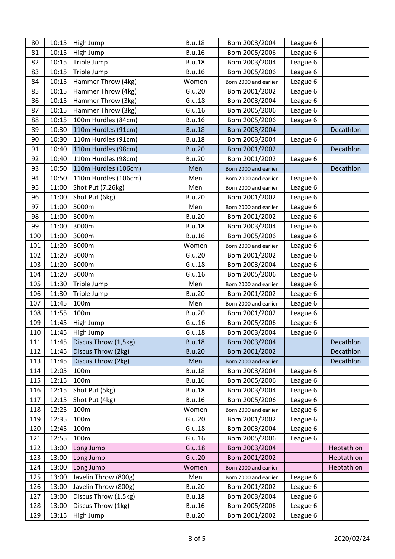| 80  | 10:15 | High Jump            | <b>B.u.18</b> | Born 2003/2004        | League 6 |            |
|-----|-------|----------------------|---------------|-----------------------|----------|------------|
| 81  | 10:15 | High Jump            | <b>B.u.16</b> | Born 2005/2006        | League 6 |            |
| 82  | 10:15 | Triple Jump          | <b>B.u.18</b> | Born 2003/2004        | League 6 |            |
| 83  | 10:15 | Triple Jump          | <b>B.u.16</b> | Born 2005/2006        | League 6 |            |
| 84  | 10:15 | Hammer Throw (4kg)   | Women         | Born 2000 and earlier | League 6 |            |
| 85  | 10:15 | Hammer Throw (4kg)   | G.u.20        | Born 2001/2002        | League 6 |            |
| 86  | 10:15 | Hammer Throw (3kg)   | G.u.18        | Born 2003/2004        | League 6 |            |
| 87  | 10:15 | Hammer Throw (3kg)   | G.u.16        | Born 2005/2006        | League 6 |            |
| 88  | 10:15 | 100m Hurdles (84cm)  | <b>B.u.16</b> | Born 2005/2006        | League 6 |            |
| 89  | 10:30 | 110m Hurdles (91cm)  | <b>B.u.18</b> | Born 2003/2004        |          | Decathlon  |
| 90  | 10:30 | 110m Hurdles (91cm)  | <b>B.u.18</b> | Born 2003/2004        | League 6 |            |
| 91  | 10:40 | 110m Hurdles (98cm)  | <b>B.u.20</b> | Born 2001/2002        |          | Decathlon  |
| 92  | 10:40 | 110m Hurdles (98cm)  | <b>B.u.20</b> | Born 2001/2002        | League 6 |            |
| 93  | 10:50 | 110m Hurdles (106cm) | Men           | Born 2000 and earlier |          | Decathlon  |
| 94  | 10:50 | 110m Hurdles (106cm) | Men           | Born 2000 and earlier | League 6 |            |
| 95  | 11:00 | Shot Put (7.26kg)    | Men           | Born 2000 and earlier | League 6 |            |
| 96  | 11:00 | Shot Put (6kg)       | <b>B.u.20</b> | Born 2001/2002        | League 6 |            |
| 97  | 11:00 | 3000m                | Men           | Born 2000 and earlier | League 6 |            |
| 98  | 11:00 | 3000m                | <b>B.u.20</b> | Born 2001/2002        | League 6 |            |
| 99  | 11:00 | 3000m                | <b>B.u.18</b> | Born 2003/2004        | League 6 |            |
| 100 | 11:00 | 3000m                | <b>B.u.16</b> | Born 2005/2006        | League 6 |            |
| 101 | 11:20 | 3000m                | Women         | Born 2000 and earlier | League 6 |            |
| 102 | 11:20 | 3000m                | G.u.20        | Born 2001/2002        | League 6 |            |
| 103 | 11:20 | 3000m                | G.u.18        | Born 2003/2004        | League 6 |            |
| 104 | 11:20 | 3000m                | G.u.16        | Born 2005/2006        | League 6 |            |
| 105 | 11:30 | Triple Jump          | Men           | Born 2000 and earlier | League 6 |            |
| 106 | 11:30 | Triple Jump          | <b>B.u.20</b> | Born 2001/2002        | League 6 |            |
| 107 | 11:45 | 100m                 | Men           | Born 2000 and earlier | League 6 |            |
| 108 | 11:55 | 100m                 | <b>B.u.20</b> | Born 2001/2002        | League 6 |            |
| 109 | 11:45 | High Jump            | G.u.16        | Born 2005/2006        | League 6 |            |
| 110 | 11:45 | High Jump            | G.u.18        | Born 2003/2004        | League 6 |            |
| 111 | 11:45 | Discus Throw (1,5kg) | <b>B.u.18</b> | Born 2003/2004        |          | Decathlon  |
| 112 | 11:45 | Discus Throw (2kg)   | <b>B.u.20</b> | Born 2001/2002        |          | Decathlon  |
| 113 | 11:45 | Discus Throw (2kg)   | Men           | Born 2000 and earlier |          | Decathlon  |
| 114 | 12:05 | 100m                 | <b>B.u.18</b> | Born 2003/2004        | League 6 |            |
| 115 | 12:15 | 100m                 | <b>B.u.16</b> | Born 2005/2006        | League 6 |            |
| 116 | 12:15 | Shot Put (5kg)       | <b>B.u.18</b> | Born 2003/2004        | League 6 |            |
| 117 | 12:15 | Shot Put (4kg)       | <b>B.u.16</b> | Born 2005/2006        | League 6 |            |
| 118 | 12:25 | 100m                 | Women         | Born 2000 and earlier | League 6 |            |
| 119 | 12:35 | 100m                 | G.u.20        | Born 2001/2002        | League 6 |            |
| 120 | 12:45 | 100m                 | G.u.18        | Born 2003/2004        | League 6 |            |
| 121 | 12:55 | 100m                 | G.u.16        | Born 2005/2006        | League 6 |            |
| 122 | 13:00 | Long Jump            | G.u.18        | Born 2003/2004        |          | Heptathlon |
| 123 | 13:00 | Long Jump            | G.u.20        | Born 2001/2002        |          | Heptathlon |
| 124 | 13:00 | Long Jump            | Women         | Born 2000 and earlier |          | Heptathlon |
| 125 | 13:00 | Javelin Throw (800g) | Men           | Born 2000 and earlier | League 6 |            |
| 126 | 13:00 | Javelin Throw (800g) | <b>B.u.20</b> | Born 2001/2002        | League 6 |            |
| 127 | 13:00 | Discus Throw (1.5kg) | <b>B.u.18</b> | Born 2003/2004        | League 6 |            |
| 128 | 13:00 | Discus Throw (1kg)   | <b>B.u.16</b> | Born 2005/2006        | League 6 |            |
| 129 | 13:15 | High Jump            | <b>B.u.20</b> | Born 2001/2002        | League 6 |            |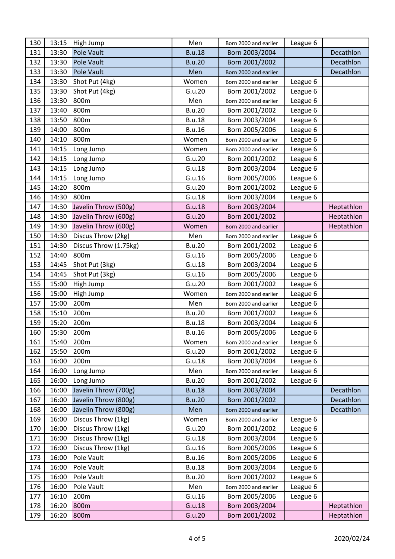| 130 | 13:15 | High Jump             | Men           | Born 2000 and earlier | League 6 |            |
|-----|-------|-----------------------|---------------|-----------------------|----------|------------|
| 131 | 13:30 | <b>Pole Vault</b>     | <b>B.u.18</b> | Born 2003/2004        |          | Decathlon  |
| 132 | 13:30 | Pole Vault            | <b>B.u.20</b> | Born 2001/2002        |          | Decathlon  |
| 133 | 13:30 | <b>Pole Vault</b>     | Men           | Born 2000 and earlier |          | Decathlon  |
| 134 | 13:30 | Shot Put (4kg)        | Women         | Born 2000 and earlier | League 6 |            |
| 135 | 13:30 | Shot Put (4kg)        | G.u.20        | Born 2001/2002        | League 6 |            |
| 136 | 13:30 | 800m                  | Men           | Born 2000 and earlier | League 6 |            |
| 137 | 13:40 | 800m                  | <b>B.u.20</b> | Born 2001/2002        | League 6 |            |
| 138 | 13:50 | 800m                  | <b>B.u.18</b> | Born 2003/2004        | League 6 |            |
| 139 | 14:00 | 800m                  | <b>B.u.16</b> | Born 2005/2006        | League 6 |            |
| 140 | 14:10 | 800m                  | Women         | Born 2000 and earlier | League 6 |            |
| 141 | 14:15 | Long Jump             | Women         | Born 2000 and earlier | League 6 |            |
| 142 | 14:15 | Long Jump             | G.u.20        | Born 2001/2002        | League 6 |            |
| 143 | 14:15 | Long Jump             | G.u.18        | Born 2003/2004        | League 6 |            |
| 144 | 14:15 | Long Jump             | G.u.16        | Born 2005/2006        | League 6 |            |
| 145 | 14:20 | 800m                  | G.u.20        | Born 2001/2002        | League 6 |            |
| 146 | 14:30 | 800m                  | G.u.18        | Born 2003/2004        | League 6 |            |
| 147 | 14:30 | Javelin Throw (500g)  | G.u.18        | Born 2003/2004        |          | Heptathlon |
| 148 | 14:30 | Javelin Throw (600g)  | G.u.20        | Born 2001/2002        |          | Heptathlon |
| 149 | 14:30 | Javelin Throw (600g)  | Women         | Born 2000 and earlier |          | Heptathlon |
| 150 | 14:30 | Discus Throw (2kg)    | Men           | Born 2000 and earlier | League 6 |            |
| 151 | 14:30 | Discus Throw (1.75kg) | <b>B.u.20</b> | Born 2001/2002        | League 6 |            |
| 152 | 14:40 | 800m                  | G.u.16        | Born 2005/2006        | League 6 |            |
| 153 | 14:45 | Shot Put (3kg)        | G.u.18        | Born 2003/2004        | League 6 |            |
| 154 | 14:45 | Shot Put (3kg)        | G.u.16        | Born 2005/2006        | League 6 |            |
| 155 | 15:00 | High Jump             | G.u.20        | Born 2001/2002        | League 6 |            |
| 156 | 15:00 | High Jump             | Women         | Born 2000 and earlier | League 6 |            |
| 157 | 15:00 | 200m                  | Men           | Born 2000 and earlier | League 6 |            |
| 158 | 15:10 | 200m                  | <b>B.u.20</b> | Born 2001/2002        | League 6 |            |
| 159 | 15:20 | 200m                  | <b>B.u.18</b> | Born 2003/2004        | League 6 |            |
| 160 | 15:30 | 200 <sub>m</sub>      | <b>B.u.16</b> | Born 2005/2006        | League 6 |            |
| 161 | 15:40 | 200m                  | Women         | Born 2000 and earlier | League 6 |            |
| 162 | 15:50 | 200 <sub>m</sub>      | G.u.20        | Born 2001/2002        | League 6 |            |
| 163 | 16:00 | 200m                  | G.u.18        | Born 2003/2004        | League 6 |            |
| 164 | 16:00 | Long Jump             | Men           | Born 2000 and earlier | League 6 |            |
| 165 | 16:00 | Long Jump             | <b>B.u.20</b> | Born 2001/2002        | League 6 |            |
| 166 | 16:00 | Javelin Throw (700g)  | <b>B.u.18</b> | Born 2003/2004        |          | Decathlon  |
| 167 | 16:00 | Javelin Throw (800g)  | <b>B.u.20</b> | Born 2001/2002        |          | Decathlon  |
| 168 | 16:00 | Javelin Throw (800g)  | Men           | Born 2000 and earlier |          | Decathlon  |
| 169 | 16:00 | Discus Throw (1kg)    | Women         | Born 2000 and earlier | League 6 |            |
| 170 | 16:00 | Discus Throw (1kg)    | G.u.20        | Born 2001/2002        | League 6 |            |
| 171 | 16:00 | Discus Throw (1kg)    | G.u.18        | Born 2003/2004        | League 6 |            |
| 172 | 16:00 | Discus Throw (1kg)    | G.u.16        | Born 2005/2006        | League 6 |            |
| 173 | 16:00 | Pole Vault            | <b>B.u.16</b> | Born 2005/2006        | League 6 |            |
| 174 | 16:00 | Pole Vault            | <b>B.u.18</b> | Born 2003/2004        | League 6 |            |
| 175 | 16:00 | Pole Vault            | <b>B.u.20</b> | Born 2001/2002        | League 6 |            |
| 176 | 16:00 | Pole Vault            | Men           | Born 2000 and earlier | League 6 |            |
| 177 | 16:10 | 200m                  | G.u.16        | Born 2005/2006        | League 6 |            |
| 178 | 16:20 | 800m                  | G.u.18        | Born 2003/2004        |          | Heptathlon |
| 179 | 16:20 | 800m                  | G.u.20        | Born 2001/2002        |          | Heptathlon |